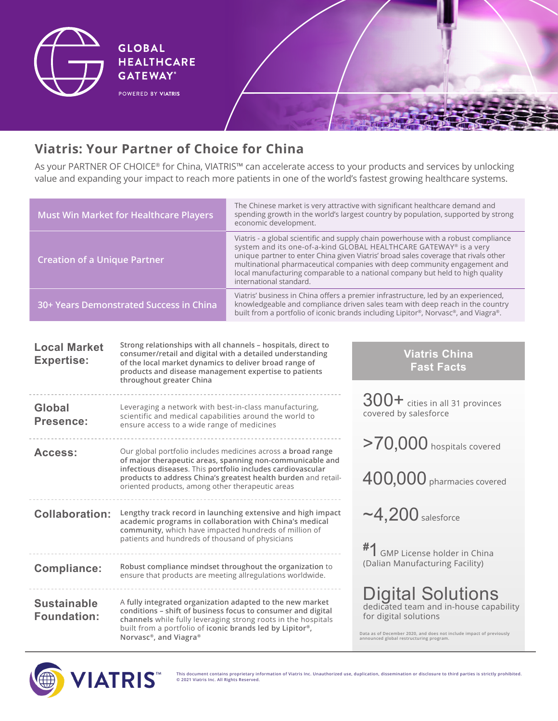

## **Viatris: Your Partner of Choice for China**

As your PARTNER OF CHOICE® for China, VIATRIS™ can accelerate access to your products and services by unlocking value and expanding your impact to reach more patients in one of the world's fastest growing healthcare systems.

| <b>Must Win Market for Healthcare Players</b>                                                                                                                                                                                                                                                                         |                                                                                                                                                                                                                                    | The Chinese market is very attractive with significant healthcare demand and<br>spending growth in the world's largest country by population, supported by strong<br>economic development.                                                                                                                                                                                                                                              |                                                                                                                |  |  |
|-----------------------------------------------------------------------------------------------------------------------------------------------------------------------------------------------------------------------------------------------------------------------------------------------------------------------|------------------------------------------------------------------------------------------------------------------------------------------------------------------------------------------------------------------------------------|-----------------------------------------------------------------------------------------------------------------------------------------------------------------------------------------------------------------------------------------------------------------------------------------------------------------------------------------------------------------------------------------------------------------------------------------|----------------------------------------------------------------------------------------------------------------|--|--|
| <b>Creation of a Unique Partner</b>                                                                                                                                                                                                                                                                                   |                                                                                                                                                                                                                                    | Viatris - a global scientific and supply chain powerhouse with a robust compliance<br>system and its one-of-a-kind GLOBAL HEALTHCARE GATEWAY® is a very<br>unique partner to enter China given Viatris' broad sales coverage that rivals other<br>multinational pharmaceutical companies with deep community engagement and<br>local manufacturing comparable to a national company but held to high quality<br>international standard. |                                                                                                                |  |  |
| 30+ Years Demonstrated Success in China                                                                                                                                                                                                                                                                               |                                                                                                                                                                                                                                    | Viatris' business in China offers a premier infrastructure, led by an experienced,<br>knowledgeable and compliance driven sales team with deep reach in the country<br>built from a portfolio of iconic brands including Lipitor®, Norvasc®, and Viagra®.                                                                                                                                                                               |                                                                                                                |  |  |
|                                                                                                                                                                                                                                                                                                                       |                                                                                                                                                                                                                                    |                                                                                                                                                                                                                                                                                                                                                                                                                                         |                                                                                                                |  |  |
| Strong relationships with all channels - hospitals, direct to<br><b>Local Market</b><br>consumer/retail and digital with a detailed understanding<br><b>Expertise:</b><br>of the local market dynamics to deliver broad range of<br>products and disease management expertise to patients<br>throughout greater China |                                                                                                                                                                                                                                    |                                                                                                                                                                                                                                                                                                                                                                                                                                         | <b>Viatris China</b><br><b>Fast Facts</b>                                                                      |  |  |
| Global<br>Presence:                                                                                                                                                                                                                                                                                                   | Leveraging a network with best-in-class manufacturing,<br>scientific and medical capabilities around the world to<br>ensure access to a wide range of medicines                                                                    |                                                                                                                                                                                                                                                                                                                                                                                                                                         | $300+$ cities in all 31 provinces<br>covered by salesforce                                                     |  |  |
| Access:                                                                                                                                                                                                                                                                                                               |                                                                                                                                                                                                                                    | Our global portfolio includes medicines across a broad range<br>of major therapeutic areas, spanning non-communicable and                                                                                                                                                                                                                                                                                                               | >70,000 hospitals covered                                                                                      |  |  |
|                                                                                                                                                                                                                                                                                                                       | infectious diseases. This portfolio includes cardiovascular<br>oriented products, among other therapeutic areas                                                                                                                    | products to address China's greatest health burden and retail-                                                                                                                                                                                                                                                                                                                                                                          | $400,000$ pharmacies covered                                                                                   |  |  |
| <b>Collaboration:</b>                                                                                                                                                                                                                                                                                                 | Lengthy track record in launching extensive and high impact<br>academic programs in collaboration with China's medical<br>community, which have impacted hundreds of million of<br>patients and hundreds of thousand of physicians |                                                                                                                                                                                                                                                                                                                                                                                                                                         | $\sim$ 4,200 salesforce                                                                                        |  |  |
|                                                                                                                                                                                                                                                                                                                       |                                                                                                                                                                                                                                    |                                                                                                                                                                                                                                                                                                                                                                                                                                         | #1 GMP License holder in China<br>(Dalian Manufacturing Facility)                                              |  |  |
| <b>Compliance:</b>                                                                                                                                                                                                                                                                                                    | ensure that products are meeting allregulations worldwide.                                                                                                                                                                         | Robust compliance mindset throughout the organization to                                                                                                                                                                                                                                                                                                                                                                                |                                                                                                                |  |  |
| <b>Sustainable</b><br><b>Foundation:</b>                                                                                                                                                                                                                                                                              | A fully integrated organization adapted to the new market                                                                                                                                                                          | conditions - shift of business focus to consumer and digital<br>channels while fully leveraging strong roots in the hospitals                                                                                                                                                                                                                                                                                                           | Digital Solutions<br>dedicated team and in-house capability<br>for digital solutions                           |  |  |
|                                                                                                                                                                                                                                                                                                                       | built from a portfolio of iconic brands led by Lipitor®,<br>Norvasc <sup>®</sup> , and Viagra <sup>®</sup>                                                                                                                         |                                                                                                                                                                                                                                                                                                                                                                                                                                         | Data as of December 2020, and does not include impact of previously<br>announced global restructuring program. |  |  |



**This document contains proprietary information of Viatris Inc. Unauthorized use, duplication, dissemination or disclosure to third parties is strictly prohibited. © 2021 Viatris Inc. All Rights Reserved.**